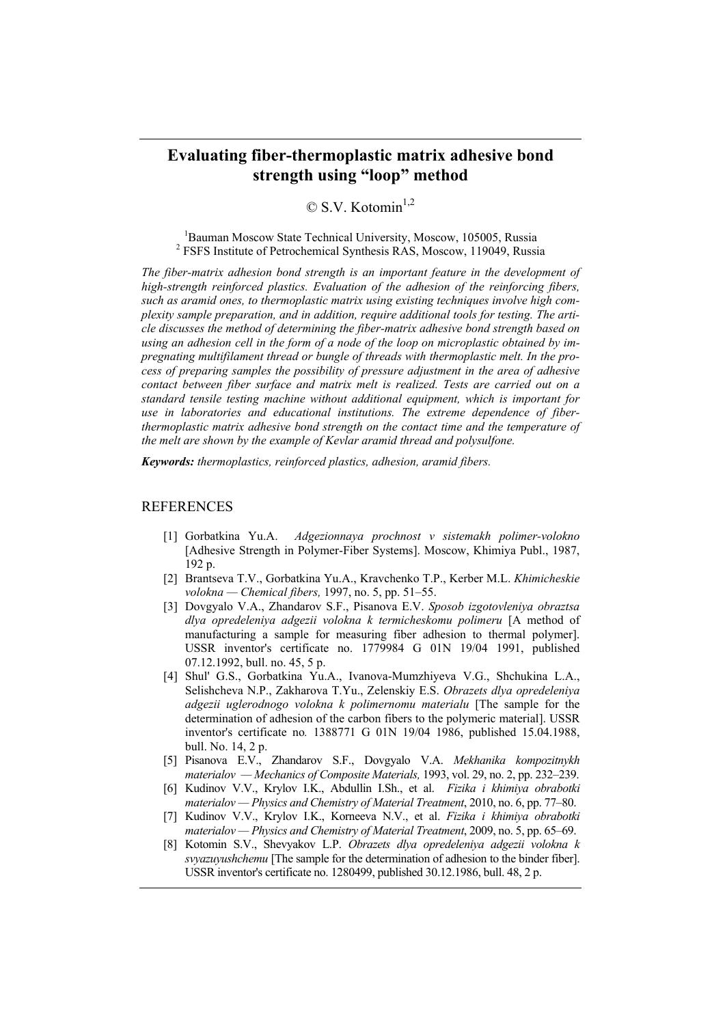## **Evaluating fiber-thermoplastic matrix adhesive bond strength using "loop" method**

 $\odot$  S.V. Kotomin<sup>1,2</sup>

<sup>1</sup>Bauman Moscow State Technical University, Moscow, 105005, Russia <sup>2</sup> FSFS Institute of Petrochemical Synthesis RAS, Moscow, 119049, Russia

*The fiber-matrix adhesion bond strength is an important feature in the development of high-strength reinforced plastics. Evaluation of the adhesion of the reinforcing fibers, such as aramid ones, to thermoplastic matrix using existing techniques involve high complexity sample preparation, and in addition, require additional tools for testing. The article discusses the method of determining the fiber-matrix adhesive bond strength based on using an adhesion cell in the form of a node of the loop on microplastic obtained by impregnating multifilament thread or bungle of threads with thermoplastic melt. In the process of preparing samples the possibility of pressure adjustment in the area of adhesive contact between fiber surface and matrix melt is realized. Tests are carried out on a standard tensile testing machine without additional equipment, which is important for use in laboratories and educational institutions. The extreme dependence of fiberthermoplastic matrix adhesive bond strength on the contact time and the temperature of the melt are shown by the example of Kevlar aramid thread and polysulfone.* 

*Keywords: thermoplastics, reinforced plastics, adhesion, aramid fibers.* 

## **REFERENCES**

- [1] Gorbatkina Yu.A. *Adgezionnaya prochnost v sistemakh polimer-volokno* [Adhesive Strength in Polymer-Fiber Systems]. Moscow, Khimiya Publ., 1987, 192 p.
- [2] Brantseva T.V., Gorbatkina Yu.A., Kravchenko T.P., Kerber M.L. *Khimicheskie volokna — Chemical fibers,* 1997, no. 5, pp. 51–55.
- [3] Dovgyalo V.A., Zhandarov S.F., Pisanova E.V. *Sposob izgotovleniya obraztsa dlya opredeleniya adgezii volokna k termicheskomu polimeru* [A method of manufacturing a sample for measuring fiber adhesion to thermal polymer]. USSR inventor's certificate no. 1779984 G 01N 19/04 1991, published 07.12.1992, bull. no. 45, 5 p.
- [4] Shul' G.S., Gorbatkina Yu.A., Ivanova-Mumzhiyeva V.G., Shchukina L.A., Selishcheva N.P., Zakharova T.Yu., Zelenskiy E.S. *Obrazets dlya opredeleniya adgezii uglerodnogo volokna k polimernomu materialu* [The sample for the determination of adhesion of the carbon fibers to the polymeric material]. USSR inventor's certificate no*.* 1388771 G 01N 19/04 1986, published 15.04.1988, bull. No. 14, 2 p.
- [5] Pisanova E.V., Zhandarov S.F., Dovgyalo V.A. *Mekhanika kompozitnykh materialov — Mechanics of Composite Materials,* 1993, vol. 29, no. 2, pp. 232–239.
- [6] Kudinov V.V., Krylov I.K., Abdullin I.Sh., et al. *Fizika i khimiya obrabotki materialov — Physics and Chemistry of Material Treatment*, 2010, no. 6, pp. 77–80.
- [7] Kudinov V.V., Krylov I.K., Korneeva N.V., et al. *Fizika i khimiya obrabotki materialov — Physics and Chemistry of Material Treatment*, 2009, no. 5, pp. 65–69.
- [8] Kotomin S.V., Shevyakov L.P. *Obrazets dlya opredeleniya adgezii volokna k svyazuyushchemu* [The sample for the determination of adhesion to the binder fiber]. USSR inventor's certificate no. 1280499, published 30.12.1986, bull. 48, 2 p.